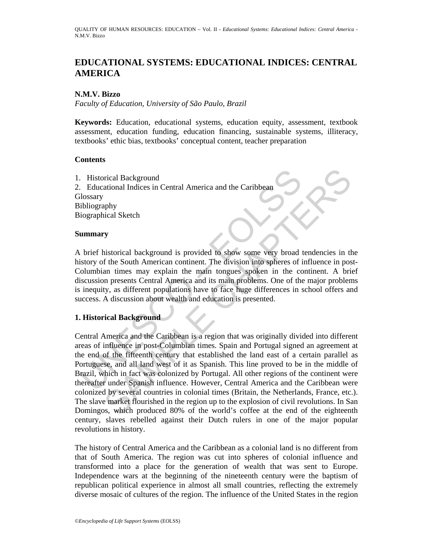# **EDUCATIONAL SYSTEMS: EDUCATIONAL INDICES: CENTRAL AMERICA**

## **N.M.V. Bizzo**

*Faculty of Education, University of São Paulo, Brazil* 

**Keywords:** Education, educational systems, education equity, assessment, textbook assessment, education funding, education financing, sustainable systems, illiteracy, textbooks' ethic bias, textbooks' conceptual content, teacher preparation

## **Contents**

1. Historical Background 2. Educational Indices in Central America and the Caribbean **Glossary** Bibliography Biographical Sketch

### **Summary**

A brief historical background is provided to show some very broad tendencies in the history of the South American continent. The division into spheres of influence in post-Columbian times may explain the main tongues spoken in the continent. A brief discussion presents Central America and its main problems. One of the major problems is inequity, as different populations have to face huge differences in school offers and success. A discussion about wealth and education is presented.

### **1. Historical Background**

Exploried Background<br>
Explorational Indices in Central America and the Caribbean<br>
Elossary<br>
ibliography<br>
iographical Sketch<br> **ummary**<br>
to the South American continent. The division into spheres of<br>
isotroy of the South Ame orical Background<br>
ational Indices in Central America and the Caribbean<br>
aphy<br>
sphy<br>
sphy<br>
sphy<br>
sphy<br>
sphy<br>
sphy<br>
sitstorical Sketch<br>
SMP (included to show some very broad tendencies in the<br>
arm<br>
smarming may explain the Central America and the Caribbean is a region that was originally divided into different areas of influence in post-Columbian times. Spain and Portugal signed an agreement at the end of the fifteenth century that established the land east of a certain parallel as Portuguese, and all land west of it as Spanish. This line proved to be in the middle of Brazil, which in fact was colonized by Portugal. All other regions of the continent were thereafter under Spanish influence. However, Central America and the Caribbean were colonized by several countries in colonial times (Britain, the Netherlands, France, etc.). The slave market flourished in the region up to the explosion of civil revolutions. In San Domingos, which produced 80% of the world's coffee at the end of the eighteenth century, slaves rebelled against their Dutch rulers in one of the major popular revolutions in history.

The history of Central America and the Caribbean as a colonial land is no different from that of South America. The region was cut into spheres of colonial influence and transformed into a place for the generation of wealth that was sent to Europe. Independence wars at the beginning of the nineteenth century were the baptism of republican political experience in almost all small countries, reflecting the extremely diverse mosaic of cultures of the region. The influence of the United States in the region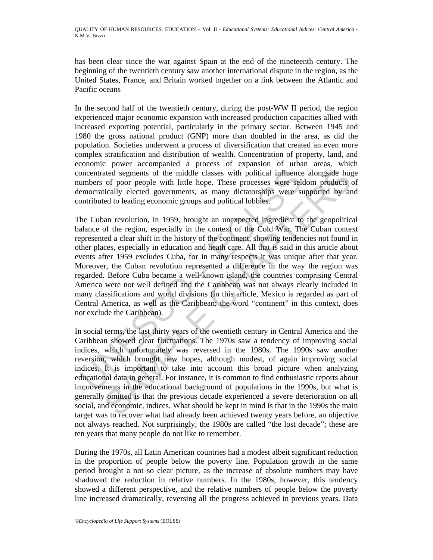has been clear since the war against Spain at the end of the nineteenth century. The beginning of the twentieth century saw another international dispute in the region, as the United States, France, and Britain worked together on a link between the Atlantic and Pacific oceans

In the second half of the twentieth century, during the post-WW II period, the region experienced major economic expansion with increased production capacities allied with increased exporting potential, particularly in the primary sector. Between 1945 and 1980 the gross national product (GNP) more than doubled in the area, as did the population. Societies underwent a process of diversification that created an even more complex stratification and distribution of wealth. Concentration of property, land, and economic power accompanied a process of expansion of urban areas, which concentrated segments of the middle classes with political influence alongside huge numbers of poor people with little hope. These processes were seldom products of democratically elected governments, as many dictatorships were supported by and contributed to leading economic groups and political lobbies.

oncentrated segments of the middle classes with political influence<br>umbers of poor people with little hope. These processes were sele<br>mocratically elected governments, as many dictatorships were sub-<br>motributed to leading ated segments of the middle classes with political influence alongside hugs<br>of poor people with little hope. These processes were seldom products to<br>ically elected governments, as many dicataroships were supported by an<br>ed The Cuban revolution, in 1959, brought an unexpected ingredient to the geopolitical balance of the region, especially in the context of the Cold War. The Cuban context represented a clear shift in the history of the continent, showing tendencies not found in other places, especially in education and heath care. All that is said in this article about events after 1959 excludes Cuba, for in many respects it was unique after that year. Moreover, the Cuban revolution represented a difference in the way the region was regarded. Before Cuba became a well-known island, the countries comprising Central America were not well defined and the Caribbean was not always clearly included in many classifications and world divisions (in this article, Mexico is regarded as part of Central America, as well as the Caribbean; the word "continent" in this context, does not exclude the Caribbean).

In social terms, the last thirty years of the twentieth century in Central America and the Caribbean showed clear fluctuations. The 1970s saw a tendency of improving social indices, which unfortunately was reversed in the 1980s. The 1990s saw another reversion, which brought new hopes, although modest, of again improving social indices. It is important to take into account this broad picture when analyzing educational data in general. For instance, it is common to find enthusiastic reports about improvements in the educational background of populations in the 1990s, but what is generally omitted is that the previous decade experienced a severe deterioration on all social, and economic, indices. What should be kept in mind is that in the 1990s the main target was to recover what had already been achieved twenty years before, an objective not always reached. Not surprisingly, the 1980s are called "the lost decade"; these are ten years that many people do not like to remember.

During the 1970s, all Latin American countries had a modest albeit significant reduction in the proportion of people below the poverty line. Population growth in the same period brought a not so clear picture, as the increase of absolute numbers may have shadowed the reduction in relative numbers. In the 1980s, however, this tendency showed a different perspective, and the relative numbers of people below the poverty line increased dramatically, reversing all the progress achieved in previous years. Data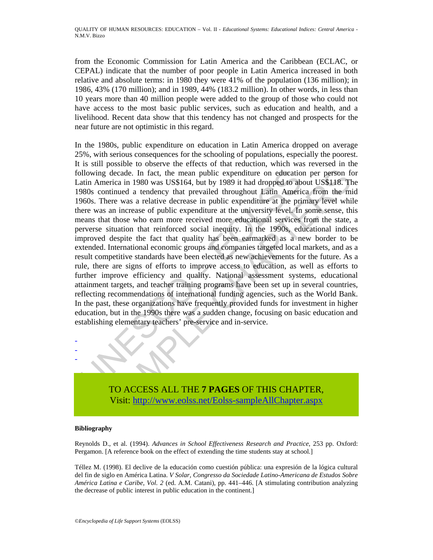from the Economic Commission for Latin America and the Caribbean (ECLAC, or CEPAL) indicate that the number of poor people in Latin America increased in both relative and absolute terms: in 1980 they were 41% of the population (136 million); in 1986, 43% (170 million); and in 1989, 44% (183.2 million). In other words, in less than 10 years more than 40 million people were added to the group of those who could not have access to the most basic public services, such as education and health, and a livelihood. Recent data show that this tendency has not changed and prospects for the near future are not optimistic in this regard.

blowing decade. In fact, the mean public expenditure on educatio atin America in 1980 was US\$164, but by 1989 it had dropped to ab 980s continued a tendency that prevailed throughout Latin America-<br>966s. There was a relati reade. In fact, the mean public expenditure on education per person for difference in 1980 was US\$164, but by 1989 it had dropped to about US\$118. The monimum d a tendency that prevailed throughout Latin America from the m In the 1980s, public expenditure on education in Latin America dropped on average 25%, with serious consequences for the schooling of populations, especially the poorest. It is still possible to observe the effects of that reduction, which was reversed in the following decade. In fact, the mean public expenditure on education per person for Latin America in 1980 was US\$164, but by 1989 it had dropped to about US\$118. The 1980s continued a tendency that prevailed throughout Latin America from the mid 1960s. There was a relative decrease in public expenditure at the primary level while there was an increase of public expenditure at the university level. In some sense, this means that those who earn more received more educational services from the state, a perverse situation that reinforced social inequity. In the 1990s, educational indices improved despite the fact that quality has been earmarked as a new border to be extended. International economic groups and companies targeted local markets, and as a result competitive standards have been elected as new achievements for the future. As a rule, there are signs of efforts to improve access to education, as well as efforts to further improve efficiency and quality. National assessment systems, educational attainment targets, and teacher training programs have been set up in several countries, reflecting recommendations of international funding agencies, such as the World Bank. In the past, these organizations have frequently provided funds for investment in higher education, but in the 1990s there was a sudden change, focusing on basic education and establishing elementary teachers' pre-service and in-service.

TO ACCESS ALL THE **7 PAGES** OF THIS CHAPTER, Visit: http://www.eolss.net/Eolss-sampleAllChapter.aspx

#### **Bibliography**

- - -

Reynolds D., et al. (1994). *Advances in School Effectiveness Research and Practice*, 253 pp. Oxford: Pergamon. [A reference book on the effect of extending the time students stay at school.]

Téllez M. (1998). El declive de la educación como cuestión pública: una expresión de la lógica cultural del fin de siglo en América Latina. *V Solar, Congresso da Sociedade Latino-Americana de Estudos Sobre América Latina e Caribe, Vol. 2* (ed. A.M. Catani), pp. 441–446. [A stimulating contribution analyzing the decrease of public interest in public education in the continent.]